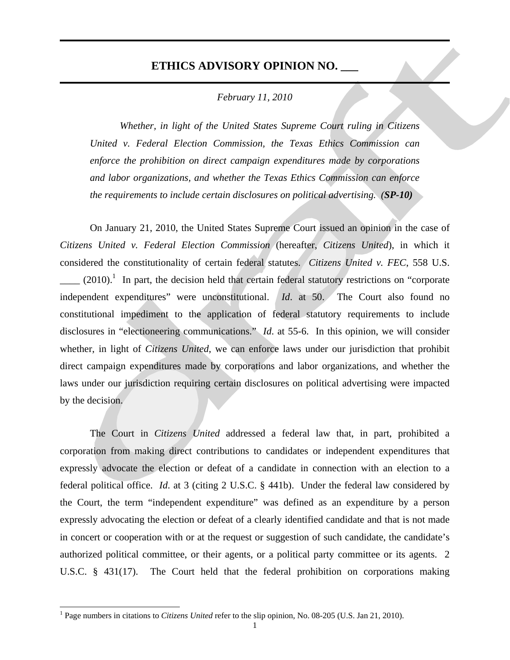## **ETHICS ADVISORY OPINION NO. \_\_\_**

٦

 $\overline{a}$ 

## *February 11, 2010*

*Whether, in light of the United States Supreme Court ruling in Citizens United v. Federal Election Commission, the Texas Ethics Commission can enforce the prohibition on direct campaign expenditures made by corporations and labor organizations, and whether the Texas Ethics Commission can enforce the requirements to include certain disclosures on political advertising. (SP-10)*

 On January 21, 2010, the United States Supreme Court issued an opinion in the case of *Citizens United v. Federal Election Commission* (hereafter, *Citizens United*), in which it considered the constitutionality of certain federal statutes. *Citizens United v. FEC*, 558 U.S.  $\mu$  (2010).<sup>1</sup> In part, the decision held that certain federal statutory restrictions on "corporate" independent expenditures" were unconstitutional. *Id*. at 50. The Court also found no constitutional impediment to the application of federal statutory requirements to include disclosures in "electioneering communications." *Id*. at 55-6. In this opinion, we will consider whether, in light of *Citizens United*, we can enforce laws under our jurisdiction that prohibit direct campaign expenditures made by corporations and labor organizations, and whether the laws under our jurisdiction requiring certain disclosures on political advertising were impacted by the decision.

The Court in *Citizens United* addressed a federal law that, in part, prohibited a corporation from making direct contributions to candidates or independent expenditures that expressly advocate the election or defeat of a candidate in connection with an election to a federal political office. *Id*. at 3 (citing 2 U.S.C. § 441b). Under the federal law considered by the Court, the term "independent expenditure" was defined as an expenditure by a person expressly advocating the election or defeat of a clearly identified candidate and that is not made in concert or cooperation with or at the request or suggestion of such candidate, the candidate's authorized political committee, or their agents, or a political party committee or its agents. 2 U.S.C. § 431(17). The Court held that the federal prohibition on corporations making

<sup>&</sup>lt;sup>1</sup> Page numbers in citations to *Citizens United* refer to the slip opinion, No. 08-205 (U.S. Jan 21, 2010).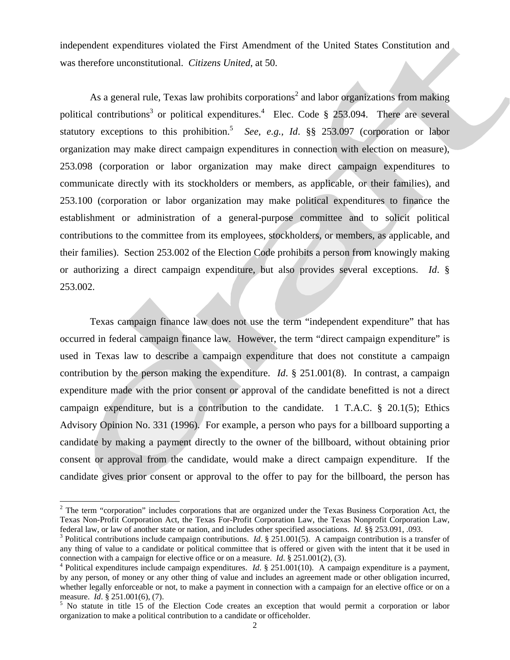independent expenditures violated the First Amendment of the United States Constitution and was therefore unconstitutional. *Citizens United*, at 50.

As a general rule, Texas law prohibits corporations<sup>2</sup> and labor organizations from making political contributions<sup>3</sup> or political expenditures.<sup>4</sup> Elec. Code § 253.094. There are several statutory exceptions to this prohibition.<sup>5</sup> See, e.g., Id.  $\S$ § 253.097 (corporation or labor organization may make direct campaign expenditures in connection with election on measure), 253.098 (corporation or labor organization may make direct campaign expenditures to communicate directly with its stockholders or members, as applicable, or their families), and 253.100 (corporation or labor organization may make political expenditures to finance the establishment or administration of a general-purpose committee and to solicit political contributions to the committee from its employees, stockholders, or members, as applicable, and their families). Section 253.002 of the Election Code prohibits a person from knowingly making or authorizing a direct campaign expenditure, but also provides several exceptions. *Id*. § 253.002.

 Texas campaign finance law does not use the term "independent expenditure" that has occurred in federal campaign finance law. However, the term "direct campaign expenditure" is used in Texas law to describe a campaign expenditure that does not constitute a campaign contribution by the person making the expenditure. *Id*. § 251.001(8). In contrast, a campaign expenditure made with the prior consent or approval of the candidate benefitted is not a direct campaign expenditure, but is a contribution to the candidate. 1 T.A.C. § 20.1(5); Ethics Advisory Opinion No. 331 (1996). For example, a person who pays for a billboard supporting a candidate by making a payment directly to the owner of the billboard, without obtaining prior consent or approval from the candidate, would make a direct campaign expenditure. If the candidate gives prior consent or approval to the offer to pay for the billboard, the person has

 $\overline{a}$ 

 $2$  The term "corporation" includes corporations that are organized under the Texas Business Corporation Act, the Texas Non-Profit Corporation Act, the Texas For-Profit Corporation Law, the Texas Nonprofit Corporation Law, federal law, or law of another state or nation, and includes other specified associations. *Id*. §§ 253.091, .093.

<sup>&</sup>lt;sup>3</sup> Political contributions include campaign contributions. *Id.* § 251.001(5). A campaign contribution is a transfer of any thing of value to a candidate or political committee that is offered or given with the intent that it be used in connection with a campaign for elective office or on a measure. *Id*. § 251.001(2), (3).

<sup>&</sup>lt;sup>4</sup> Political expenditures include campaign expenditures. *Id.* § 251.001(10). A campaign expenditure is a payment, by any person, of money or any other thing of value and includes an agreement made or other obligation incurred, whether legally enforceable or not, to make a payment in connection with a campaign for an elective office or on a measure. *Id.* § 251.001(6), (7).

 $<sup>5</sup>$  No statute in title 15 of the Election Code creates an exception that would permit a corporation or labor</sup> organization to make a political contribution to a candidate or officeholder.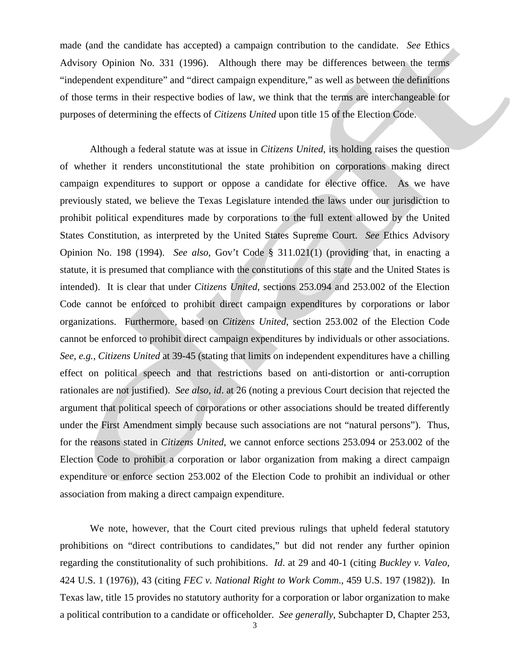made (and the candidate has accepted) a campaign contribution to the candidate. *See* Ethics Advisory Opinion No. 331 (1996). Although there may be differences between the terms "independent expenditure" and "direct campaign expenditure," as well as between the definitions of those terms in their respective bodies of law, we think that the terms are interchangeable for purposes of determining the effects of *Citizens United* upon title 15 of the Election Code.

 Although a federal statute was at issue in *Citizens United*, its holding raises the question of whether it renders unconstitutional the state prohibition on corporations making direct campaign expenditures to support or oppose a candidate for elective office. As we have previously stated, we believe the Texas Legislature intended the laws under our jurisdiction to prohibit political expenditures made by corporations to the full extent allowed by the United States Constitution, as interpreted by the United States Supreme Court. *See* Ethics Advisory Opinion No. 198 (1994). *See also*, Gov't Code § 311.021(1) (providing that, in enacting a statute, it is presumed that compliance with the constitutions of this state and the United States is intended). It is clear that under *Citizens United*, sections 253.094 and 253.002 of the Election Code cannot be enforced to prohibit direct campaign expenditures by corporations or labor organizations. Furthermore, based on *Citizens United*, section 253.002 of the Election Code cannot be enforced to prohibit direct campaign expenditures by individuals or other associations. *See, e.g., Citizens United* at 39-45 (stating that limits on independent expenditures have a chilling effect on political speech and that restrictions based on anti-distortion or anti-corruption rationales are not justified). *See also, id*. at 26 (noting a previous Court decision that rejected the argument that political speech of corporations or other associations should be treated differently under the First Amendment simply because such associations are not "natural persons"). Thus, for the reasons stated in *Citizens United*, we cannot enforce sections 253.094 or 253.002 of the Election Code to prohibit a corporation or labor organization from making a direct campaign expenditure or enforce section 253.002 of the Election Code to prohibit an individual or other association from making a direct campaign expenditure.

We note, however, that the Court cited previous rulings that upheld federal statutory prohibitions on "direct contributions to candidates," but did not render any further opinion regarding the constitutionality of such prohibitions. *Id*. at 29 and 40-1 (citing *Buckley v. Valeo*, 424 U.S. 1 (1976)), 43 (citing *FEC v. National Right to Work Comm*., 459 U.S. 197 (1982)). In Texas law, title 15 provides no statutory authority for a corporation or labor organization to make a political contribution to a candidate or officeholder. *See generally*, Subchapter D, Chapter 253,